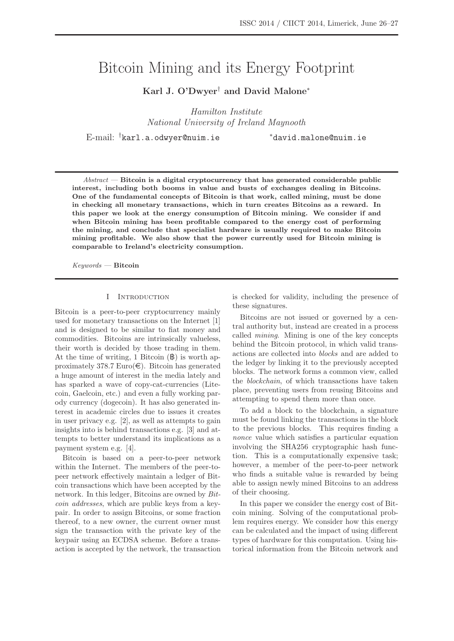# Bitcoin Mining and its Energy Footprint

**Karl J. O'Dwyer**† **and David Malone**<sup>∗</sup>

Hamilton Institute National University of Ireland Maynooth

E-mail: † karl.a.odwyer@nuim.ie <sup>∗</sup>david.malone@nuim.ie

Abstract — **Bitcoin is a digital cryptocurrency that has generated considerable public interest, including both booms in value and busts of exchanges dealing in Bitcoins. One of the fundamental concepts of Bitcoin is that work, called mining, must be done in checking all monetary transactions, which in turn creates Bitcoins as a reward. In this paper we look at the energy consumption of Bitcoin mining. We consider if and when Bitcoin mining has been profitable compared to the energy cost of performing the mining, and conclude that specialist hardware is usually required to make Bitcoin mining profitable. We also show that the power currently used for Bitcoin mining is comparable to Ireland's electricity consumption.**

Keywords — **Bitcoin**

# I Introduction

Bitcoin is a peer-to-peer cryptocurrency mainly used for monetary transactions on the Internet [1] and is designed to be similar to fiat money and commodities. Bitcoins are intrinsically valueless, their worth is decided by those trading in them. At the time of writing, 1 Bitcoin  $(\mathbf{\mathbb{B}})$  is worth approximately 378.7 Euro( $\in$ ). Bitcoin has generated a huge amount of interest in the media lately and has sparked a wave of copy-cat-currencies (Litecoin, Gaelcoin, etc.) and even a fully working parody currency (dogecoin). It has also generated interest in academic circles due to issues it creates in user privacy e.g. [2], as well as attempts to gain insights into is behind transactions e.g. [3] and attempts to better understand its implications as a payment system e.g. [4].

Bitcoin is based on a peer-to-peer network within the Internet. The members of the peer-topeer network effectively maintain a ledger of Bitcoin transactions which have been accepted by the network. In this ledger, Bitcoins are owned by Bitcoin addresses, which are public keys from a keypair. In order to assign Bitcoins, or some fraction thereof, to a new owner, the current owner must sign the transaction with the private key of the keypair using an ECDSA scheme. Before a transaction is accepted by the network, the transaction

is checked for validity, including the presence of these signatures.

Bitcoins are not issued or governed by a central authority but, instead are created in a process called mining. Mining is one of the key concepts behind the Bitcoin protocol, in which valid transactions are collected into blocks and are added to the ledger by linking it to the previously accepted blocks. The network forms a common view, called the blockchain, of which transactions have taken place, preventing users from reusing Bitcoins and attempting to spend them more than once.

To add a block to the blockchain, a signature must be found linking the transactions in the block to the previous blocks. This requires finding a nonce value which satisfies a particular equation involving the SHA256 cryptographic hash function. This is a computationally expensive task; however, a member of the peer-to-peer network who finds a suitable value is rewarded by being able to assign newly mined Bitcoins to an address of their choosing.

In this paper we consider the energy cost of Bitcoin mining. Solving of the computational problem requires energy. We consider how this energy can be calculated and the impact of using different types of hardware for this computation. Using historical information from the Bitcoin network and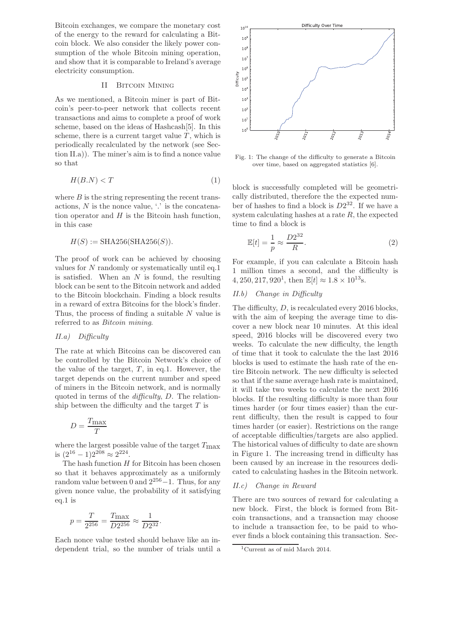Bitcoin exchanges, we compare the monetary cost of the energy to the reward for calculating a Bitcoin block. We also consider the likely power consumption of the whole Bitcoin mining operation, and show that it is comparable to Ireland's average electricity consumption.

# II Bitcoin Mining

As we mentioned, a Bitcoin miner is part of Bitcoin's peer-to-peer network that collects recent transactions and aims to complete a proof of work scheme, based on the ideas of Hashcash[5]. In this scheme, there is a current target value  $T$ , which is periodically recalculated by the network (see Section II.a)). The miner's aim is to find a nonce value so that

$$
H(B.N) < T \tag{1}
$$

where  $B$  is the string representing the recent transactions,  $N$  is the nonce value,  $\therefore$  is the concatenation operator and  $H$  is the Bitcoin hash function, in this case

$$
H(S) := \text{SHA256}(\text{SHA256}(S)).
$$

The proof of work can be achieved by choosing values for N randomly or systematically until eq.1 is satisfied. When an  $N$  is found, the resulting block can be sent to the Bitcoin network and added to the Bitcoin blockchain. Finding a block results in a reward of extra Bitcoins for the block's finder. Thus, the process of finding a suitable  $N$  value is referred to as Bitcoin mining.

## II.a) Difficulty

The rate at which Bitcoins can be discovered can be controlled by the Bitcoin Network's choice of the value of the target,  $T$ , in eq.1. However, the target depends on the current number and speed of miners in the Bitcoin network, and is normally quoted in terms of the *difficulty*, D. The relationship between the difficulty and the target  $T$  is

$$
D=\frac{T_{\max}}{T}
$$

where the largest possible value of the target  $T_{\text{max}}$ is  $(2^{16} - 1)2^{208} \approx 2^{224}$ .

The hash function  $H$  for Bitcoin has been chosen so that it behaves approximately as a uniformly random value between 0 and  $2^{256} - 1$ . Thus, for any given nonce value, the probability of it satisfying eq.1 is

$$
p = \frac{T}{2^{256}} = \frac{T_{\text{max}}}{D2^{256}} \approx \frac{1}{D2^{32}}.
$$

Each nonce value tested should behave like an independent trial, so the number of trials until a



Fig. 1: The change of the difficulty to generate a Bitcoin over time, based on aggregated statistics [6].

block is successfully completed will be geometrically distributed, therefore the the expected number of hashes to find a block is  $D2^{32}$ . If we have a system calculating hashes at a rate  $R$ , the expected time to find a block is

$$
\mathbb{E}[t] = \frac{1}{p} \approx \frac{D2^{32}}{R}.
$$
 (2)

For example, if you can calculate a Bitcoin hash 1 million times a second, and the difficulty is 4, 250, 217, 920<sup>1</sup>, then  $\mathbb{E}[t] \approx 1.8 \times 10^{13}$  s.

# II.b) Change in Difficulty

The difficulty, D, is recalculated every 2016 blocks, with the aim of keeping the average time to discover a new block near 10 minutes. At this ideal speed, 2016 blocks will be discovered every two weeks. To calculate the new difficulty, the length of time that it took to calculate the the last 2016 blocks is used to estimate the hash rate of the entire Bitcoin network. The new difficulty is selected so that if the same average hash rate is maintained, it will take two weeks to calculate the next 2016 blocks. If the resulting difficulty is more than four times harder (or four times easier) than the current difficulty, then the result is capped to four times harder (or easier). Restrictions on the range of acceptable difficulties/targets are also applied. The historical values of difficulty to date are shown in Figure 1. The increasing trend in difficulty has been caused by an increase in the resources dedicated to calculating hashes in the Bitcoin network.

# II.c) Change in Reward

There are two sources of reward for calculating a new block. First, the block is formed from Bitcoin transactions, and a transaction may choose to include a transaction fee, to be paid to whoever finds a block containing this transaction. Sec-

<sup>1</sup>Current as of mid March 2014.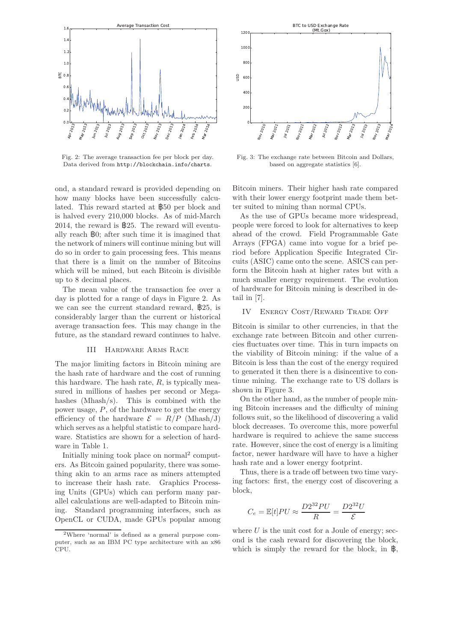

Fig. 2: The average transaction fee per block per day. Data derived from http://blockchain.info/charts.

ond, a standard reward is provided depending on how many blocks have been successfully calculated. This reward started at B50 per block and is halved every 210,000 blocks. As of mid-March 2014, the reward is  $\frac{1}{2}$ 25. The reward will eventually reach B0; after such time it is imagined that the network of miners will continue mining but will do so in order to gain processing fees. This means that there is a limit on the number of Bitcoins which will be mined, but each Bitcoin is divisible up to 8 decimal places.

The mean value of the transaction fee over a day is plotted for a range of days in Figure 2. As we can see the current standard reward, B25, is considerably larger than the current or historical average transaction fees. This may change in the future, as the standard reward continues to halve.

#### III Hardware Arms Race

The major limiting factors in Bitcoin mining are the hash rate of hardware and the cost of running this hardware. The hash rate,  $R$ , is typically measured in millions of hashes per second or Megahashes (Mhash/s). This is combined with the power usage, P, of the hardware to get the energy efficiency of the hardware  $\mathcal{E} = R/P$  (Mhash/J) which serves as a helpful statistic to compare hardware. Statistics are shown for a selection of hardware in Table 1.

Initially mining took place on normal<sup>2</sup> computers. As Bitcoin gained popularity, there was something akin to an arms race as miners attempted to increase their hash rate. Graphics Processing Units (GPUs) which can perform many parallel calculations are well-adapted to Bitcoin mining. Standard programming interfaces, such as OpenCL or CUDA, made GPUs popular among



Fig. 3: The exchange rate between Bitcoin and Dollars, based on aggregate statistics [6].

Bitcoin miners. Their higher hash rate compared with their lower energy footprint made them better suited to mining than normal CPUs.

As the use of GPUs became more widespread, people were forced to look for alternatives to keep ahead of the crowd. Field Programmable Gate Arrays (FPGA) came into vogue for a brief period before Application Specific Integrated Circuits (ASIC) came onto the scene. ASICS can perform the Bitcoin hash at higher rates but with a much smaller energy requirement. The evolution of hardware for Bitcoin mining is described in detail in [7].

# IV Energy Cost/Reward Trade Off

Bitcoin is similar to other currencies, in that the exchange rate between Bitcoin and other currencies fluctuates over time. This in turn impacts on the viability of Bitcoin mining: if the value of a Bitcoin is less than the cost of the energy required to generated it then there is a disincentive to continue mining. The exchange rate to US dollars is shown in Figure 3.

On the other hand, as the number of people mining Bitcoin increases and the difficulty of mining follows suit, so the likelihood of discovering a valid block decreases. To overcome this, more powerful hardware is required to achieve the same success rate. However, since the cost of energy is a limiting factor, newer hardware will have to have a higher hash rate and a lower energy footprint.

Thus, there is a trade off between two time varying factors: first, the energy cost of discovering a block,

$$
C_e = \mathbb{E}[t]PU \approx \frac{D2^{32}PU}{R} = \frac{D2^{32}U}{\mathcal{E}}
$$

where  $U$  is the unit cost for a Joule of energy; second is the cash reward for discovering the block, which is simply the reward for the block, in  $\mathbf{\mathbb{B}}$ ,

<sup>2</sup>Where 'normal' is defined as a general purpose computer, such as an IBM PC type architecture with an x86 CPU.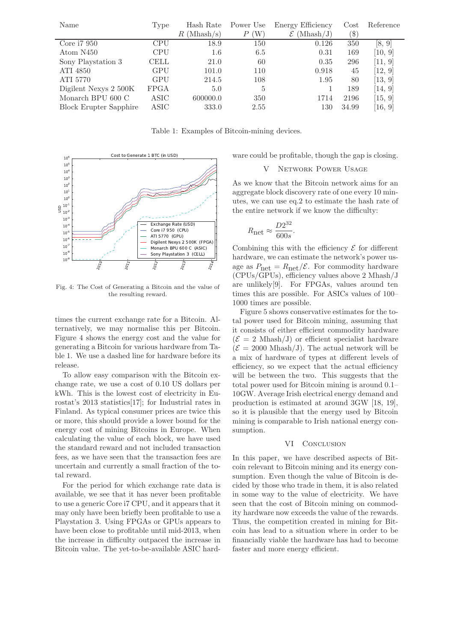| Name                          | Type        | Hash Rate       | Power Use | <b>Energy Efficiency</b>  | Cost                      | Reference |
|-------------------------------|-------------|-----------------|-----------|---------------------------|---------------------------|-----------|
|                               |             | (Mhash/s)<br>R. | W         | (Mhash/J)<br>${\cal E}$ ( | $\left( \text{\$}\right)$ |           |
| Core i7 950                   | CPU         | 18.9            | 150       | 0.126                     | 350                       | [8, 9]    |
| Atom N450                     | <b>CPU</b>  | 1.6             | 6.5       | 0.31                      | 169                       | [10, 9]   |
| Sony Playstation 3            | CELL        | 21.0            | 60        | 0.35                      | 296                       | [11, 9]   |
| ATI 4850                      | GPU         | 101.0           | 110       | 0.918                     | 45                        | [12, 9]   |
| ATI 5770                      | GPU         | 214.5           | 108       | 1.95                      | 80                        | [13, 9]   |
| Digilent Nexys 2 500K         | <b>FPGA</b> | 5.0             | 5         |                           | 189                       | [14, 9]   |
| Monarch BPU $600\ C$          | ASIC        | 600000.0        | 350       | 1714                      | 2196                      | [15, 9]   |
| <b>Block Erupter Sapphire</b> | ASIC        | 333.0           | 2.55      | 130                       | 34.99                     | [16, 9]   |

Table 1: Examples of Bitcoin-mining devices.



Fig. 4: The Cost of Generating a Bitcoin and the value of the resulting reward.

times the current exchange rate for a Bitcoin. Alternatively, we may normalise this per Bitcoin. Figure 4 shows the energy cost and the value for generating a Bitcoin for various hardware from Table 1. We use a dashed line for hardware before its release.

To allow easy comparison with the Bitcoin exchange rate, we use a cost of 0.10 US dollars per kWh. This is the lowest cost of electricity in Eurostat's 2013 statistics[17]; for Industrial rates in Finland. As typical consumer prices are twice this or more, this should provide a lower bound for the energy cost of mining Bitcoins in Europe. When calculating the value of each block, we have used the standard reward and not included transaction fees, as we have seen that the transaction fees are uncertain and currently a small fraction of the total reward.

For the period for which exchange rate data is available, we see that it has never been profitable to use a generic Core i7 CPU, and it appears that it may only have been briefly been profitable to use a Playstation 3. Using FPGAs or GPUs appears to have been close to profitable until mid-2013, when the increase in difficulty outpaced the increase in Bitcoin value. The yet-to-be-available ASIC hardware could be profitable, though the gap is closing.

## V Network Power Usage

As we know that the Bitcoin network aims for an aggregate block discovery rate of one every 10 minutes, we can use eq.2 to estimate the hash rate of the entire network if we know the difficulty:

$$
R_{\text{net}} \approx \frac{D2^{32}}{600s}.
$$

Combining this with the efficiency  $\mathcal E$  for different hardware, we can estimate the network's power usage as  $P_{\text{net}} = R_{\text{net}} / \mathcal{E}$ . For commodity hardware (CPUs/GPUs), efficiency values above 2 Mhash/J are unlikely[9]. For FPGAs, values around ten times this are possible. For ASICs values of 100– 1000 times are possible.

Figure 5 shows conservative estimates for the total power used for Bitcoin mining, assuming that it consists of either efficient commodity hardware  $(\mathcal{E} = 2 \text{ Mhash}/J)$  or efficient specialist hardware  $(\mathcal{E} = 2000 \text{ Mhash}/\text{J})$ . The actual network will be a mix of hardware of types at different levels of efficiency, so we expect that the actual efficiency will be between the two. This suggests that the total power used for Bitcoin mining is around 0.1– 10GW. Average Irish electrical energy demand and production is estimated at around 3GW [18, 19], so it is plausible that the energy used by Bitcoin mining is comparable to Irish national energy consumption.

#### VI CONCLUSION

In this paper, we have described aspects of Bitcoin relevant to Bitcoin mining and its energy consumption. Even though the value of Bitcoin is decided by those who trade in them, it is also related in some way to the value of electricity. We have seen that the cost of Bitcoin mining on commodity hardware now exceeds the value of the rewards. Thus, the competition created in mining for Bitcoin has lead to a situation where in order to be financially viable the hardware has had to become faster and more energy efficient.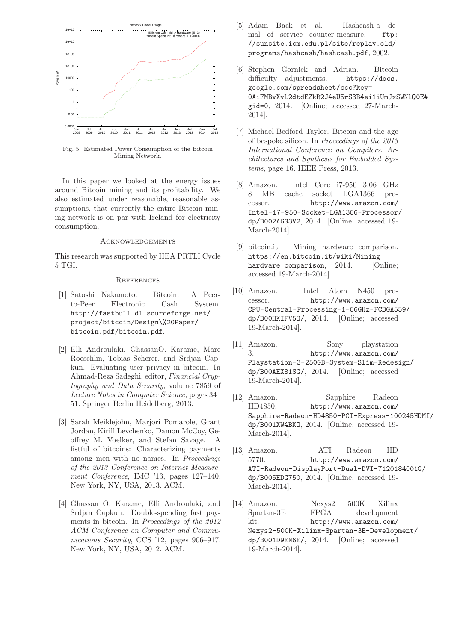

Fig. 5: Estimated Power Consumption of the Bitcoin Mining Network.

In this paper we looked at the energy issues around Bitcoin mining and its profitability. We also estimated under reasonable, reasonable assumptions, that currently the entire Bitcoin mining network is on par with Ireland for electricity consumption.

# **ACKNOWLEDGEMENTS**

This research was supported by HEA PRTLI Cycle 5 TGI.

#### **REFERENCES**

- [1] Satoshi Nakamoto. Bitcoin: A Peerto-Peer Electronic Cash System. http://fastbull.dl.sourceforge.net/ project/bitcoin/Design\%20Paper/ bitcoin.pdf/bitcoin.pdf.
- [2] Elli Androulaki, GhassanO. Karame, Marc Roeschlin, Tobias Scherer, and Srdjan Capkun. Evaluating user privacy in bitcoin. In Ahmad-Reza Sadeghi, editor, Financial Cryptography and Data Security, volume 7859 of Lecture Notes in Computer Science, pages 34– 51. Springer Berlin Heidelberg, 2013.
- [3] Sarah Meiklejohn, Marjori Pomarole, Grant Jordan, Kirill Levchenko, Damon McCoy, Geoffrey M. Voelker, and Stefan Savage. A fistful of bitcoins: Characterizing payments among men with no names. In Proceedings of the 2013 Conference on Internet Measurement Conference, IMC '13, pages 127–140, New York, NY, USA, 2013. ACM.
- [4] Ghassan O. Karame, Elli Androulaki, and Srdjan Capkun. Double-spending fast payments in bitcoin. In Proceedings of the 2012 ACM Conference on Computer and Communications Security, CCS '12, pages 906–917, New York, NY, USA, 2012. ACM.
- [5] Adam Back et al. Hashcash-a denial of service counter-measure. ftp: //sunsite.icm.edu.pl/site/replay.old/ programs/hashcash/hashcash.pdf, 2002.
- [6] Stephen Gornick and Adrian. Bitcoin difficulty adjustments. https://docs. google.com/spreadsheet/ccc?key= 0AiFMBvXvL2dtdEZkR2J4eU5rS3B4ei1iUmJxSWNlQ0E# gid=0, 2014. [Online; accessed 27-March-2014].
- [7] Michael Bedford Taylor. Bitcoin and the age of bespoke silicon. In Proceedings of the 2013 International Conference on Compilers, Architectures and Synthesis for Embedded Systems, page 16. IEEE Press, 2013.
- [8] Amazon. Intel Core i7-950 3.06 GHz 8 MB cache socket LGA1366 processor. http://www.amazon.com/ Intel-i7-950-Socket-LGA1366-Processor/ dp/B002A6G3V2, 2014. [Online; accessed 19- March-2014].
- [9] bitcoin.it. Mining hardware comparison. https://en.bitcoin.it/wiki/Mining\_ hardware\_comparison, 2014. [Online; accessed 19-March-2014].
- [10] Amazon. Intel Atom N450 processor. http://www.amazon.com/ CPU-Central-Processing-1-66GHz-FCBGA559/ dp/B00HKIFV5O/, 2014. [Online; accessed 19-March-2014].
- [11] Amazon. Sony playstation 3. http://www.amazon.com/ Playstation-3-250GB-System-Slim-Redesign/ dp/B00AEX81SG/, 2014. [Online; accessed 19-March-2014].
- [12] Amazon. Sapphire Radeon HD4850. http://www.amazon.com/ Sapphire-Radeon-HD4850-PCI-Express-100245HDMI/ dp/B001XW4BKO, 2014. [Online; accessed 19- March-2014].
- [13] Amazon. ATI Radeon HD 5770. http://www.amazon.com/ ATI-Radeon-DisplayPort-Dual-DVI-7120184001G/ dp/B005EDG750, 2014. [Online; accessed 19- March-2014].
- [14] Amazon. Nexys2 500K Xilinx Spartan-3E FPGA development kit. http://www.amazon.com/ Nexys2-500K-Xilinx-Spartan-3E-Development/ dp/B001D9EN6E/, 2014. [Online; accessed 19-March-2014].